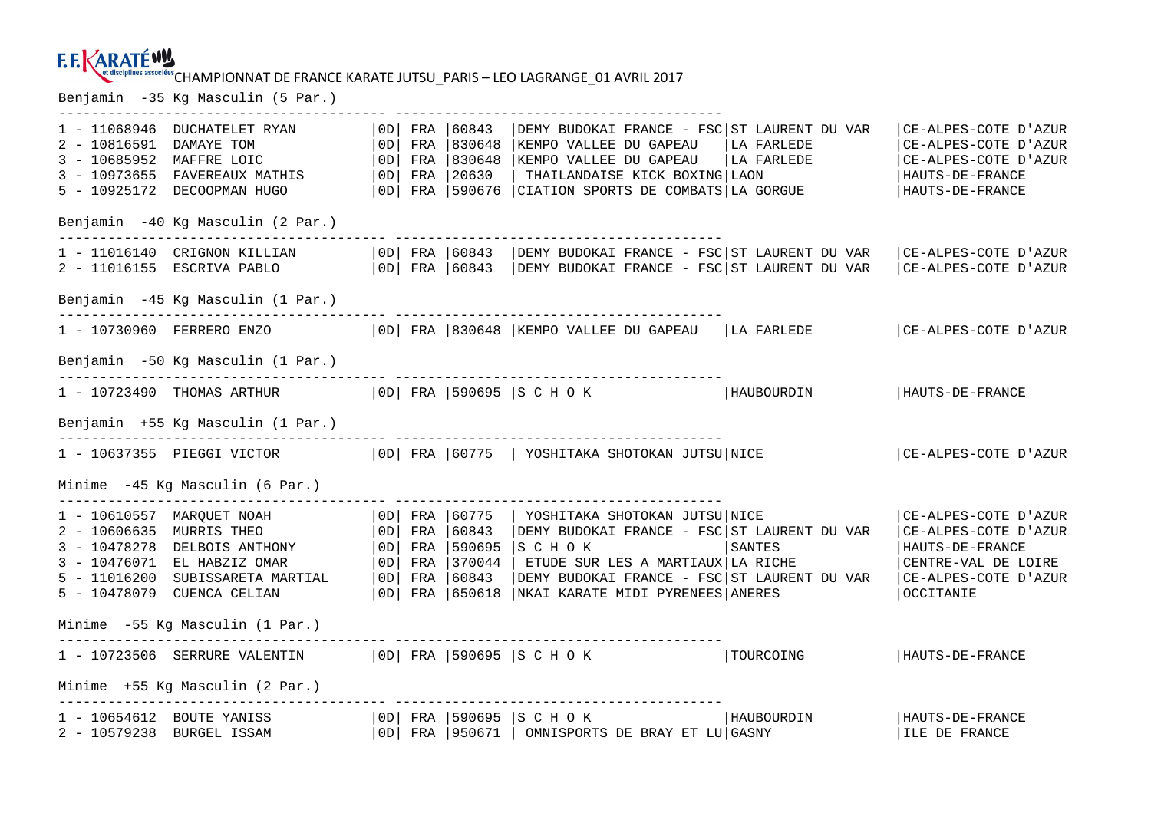# EN UNISCIPANIES ASSOCIESS CHAMPIONNAT DE FRANCE KARATE JUTSU\_PARIS — LEO LAGRANGE\_01 AVRIL 2017<br>Benjamin –35 Kg Masculin (5 Par.)

|                                 |                                                                                                                                                                                   |  |  |  | --------------------------------                                                                                                                                                                                                                                                                                              |  |                                                                                                                                 |
|---------------------------------|-----------------------------------------------------------------------------------------------------------------------------------------------------------------------------------|--|--|--|-------------------------------------------------------------------------------------------------------------------------------------------------------------------------------------------------------------------------------------------------------------------------------------------------------------------------------|--|---------------------------------------------------------------------------------------------------------------------------------|
| 2 - 10816591 DAMAYE TOM         | 1 - 11068946 DUCHATELET RYAN<br>3 - 10685952 MAFFRE LOIC<br>3 - 10973655 FAVEREAUX MATHIS<br>5 - 10925172 DECOOPMAN HUGO                                                          |  |  |  | OD  FRA   60843   DEMY BUDOKAI FRANCE - FSC   ST LAURENT DU VAR<br>  OD   FRA   830648   KEMPO VALLEE DU GAPEAU   LA FARLEDE<br>$ 0D $ FRA $ 830648 $ KEMPO VALLEE DU GAPEAU $ $ LA FARLEDE<br>  OD   FRA   20630   THAILANDAISE KICK BOXING   LAON<br>  OD   FRA   590676   CIATION SPORTS DE COMBATS   LA GORGUE            |  | CE-ALPES-COTE D'AZUR<br>CE-ALPES-COTE D'AZUR<br>  CE-ALPES-COTE D'AZUR<br>  HAUTS-DE-FRANCE<br>  HAUTS-DE-FRANCE                |
|                                 | Benjamin -40 Kg Masculin (2 Par.)                                                                                                                                                 |  |  |  |                                                                                                                                                                                                                                                                                                                               |  |                                                                                                                                 |
|                                 |                                                                                                                                                                                   |  |  |  | 1 - 11016140 CRIGNON KILLIAN   OD  FRA   60843   DEMY BUDOKAI FRANCE - FSC   ST LAURENT DU VAR<br>2 - 11016155 ESCRIVA PABLO $ 0D $ FRA $ 60843$ DEMY BUDOKAI FRANCE - FSC ST LAURENT DU VAR                                                                                                                                  |  | CE-ALPES-COTE D'AZUR<br>  CE-ALPES-COTE D'AZUR                                                                                  |
|                                 | Benjamin -45 Kg Masculin (1 Par.)                                                                                                                                                 |  |  |  |                                                                                                                                                                                                                                                                                                                               |  |                                                                                                                                 |
|                                 |                                                                                                                                                                                   |  |  |  | 1 - 10730960 FERRERO ENZO   OD  FRA   830648   KEMPO VALLEE DU GAPEAU   LA FARLEDE   CE-ALPES-COTE D'AZUR                                                                                                                                                                                                                     |  |                                                                                                                                 |
|                                 | Benjamin -50 Kg Masculin (1 Par.)                                                                                                                                                 |  |  |  |                                                                                                                                                                                                                                                                                                                               |  |                                                                                                                                 |
|                                 |                                                                                                                                                                                   |  |  |  | -----------------------------------<br>1 - 10723490 THOMAS ARTHUR   OD  FRA   590695   S C H O K   HAUBOURDIN                                                                                                                                                                                                                 |  | HAUTS-DE-FRANCE                                                                                                                 |
|                                 | Benjamin +55 Kg Masculin (1 Par.)                                                                                                                                                 |  |  |  |                                                                                                                                                                                                                                                                                                                               |  |                                                                                                                                 |
|                                 |                                                                                                                                                                                   |  |  |  | 1 - 10637355 PIEGGI VICTOR   OD  FRA   60775   YOSHITAKA SHOTOKAN JUTSU NICE                                                                                                                                                                                                                                                  |  | CE-ALPES-COTE D'AZUR                                                                                                            |
|                                 | Minime -45 Kg Masculin (6 Par.)                                                                                                                                                   |  |  |  |                                                                                                                                                                                                                                                                                                                               |  |                                                                                                                                 |
|                                 | 1 - 10610557 MARQUET NOAH<br>1 - 10610557 MARQUET NOAH<br>2 - 10606635 MURRIS THEO<br>$3 - 10478278$ DELBOIS ANTHONY<br>3 - 10476071 EL HABZIZ OMAR<br>5 - 10478079 CUENCA CELIAN |  |  |  | OD  FRA  60775   YOSHITAKA SHOTOKAN JUTSU NICE<br>  OD   FRA   60843   DEMY BUDOKAI FRANCE - FSC   ST LAURENT DU VAR<br>  0D   FRA   590695   S C H O K   SANTES<br>5 - 11016200 SUBISSARETA MARTIAL (OD) FRA 60843   DEMY BUDOKAI FRANCE - FSC ST LAURENT DU VAR<br>  OD   FRA   650618   NKAI KARATE MIDI PYRENEES   ANERES |  | CE-ALPES-COTE D'AZUR<br>  CE-ALPES-COTE D'AZUR<br>  HAUTS-DE-FRANCE<br>CENTRE-VAL DE LOIRE<br>CE-ALPES-COTE D'AZUR<br>OCCITANIE |
|                                 | Minime -55 Kg Masculin (1 Par.)                                                                                                                                                   |  |  |  |                                                                                                                                                                                                                                                                                                                               |  |                                                                                                                                 |
|                                 |                                                                                                                                                                                   |  |  |  | 1 - 10723506 SERRURE VALENTIN   OD  FRA   590695   S C H O K   TOURCOING                                                                                                                                                                                                                                                      |  | HAUTS-DE-FRANCE                                                                                                                 |
| Minime +55 Kg Masculin (2 Par.) |                                                                                                                                                                                   |  |  |  |                                                                                                                                                                                                                                                                                                                               |  |                                                                                                                                 |
|                                 |                                                                                                                                                                                   |  |  |  | 1 - 10654612 BOUTE YANISS   0D  FRA   590695   S C H O K   HAUBOURDIN<br>2 - 10579238 BURGEL ISSAM   0D  FRA   950671   OMNISPORTS DE BRAY ET LU   GASNY<br>$ 0D $ FRA $ 950671 $ OMNISPORTS DE BRAY ET LU GASNY                                                                                                              |  | HAUTS-DE-FRANCE<br>ILE DE FRANCE                                                                                                |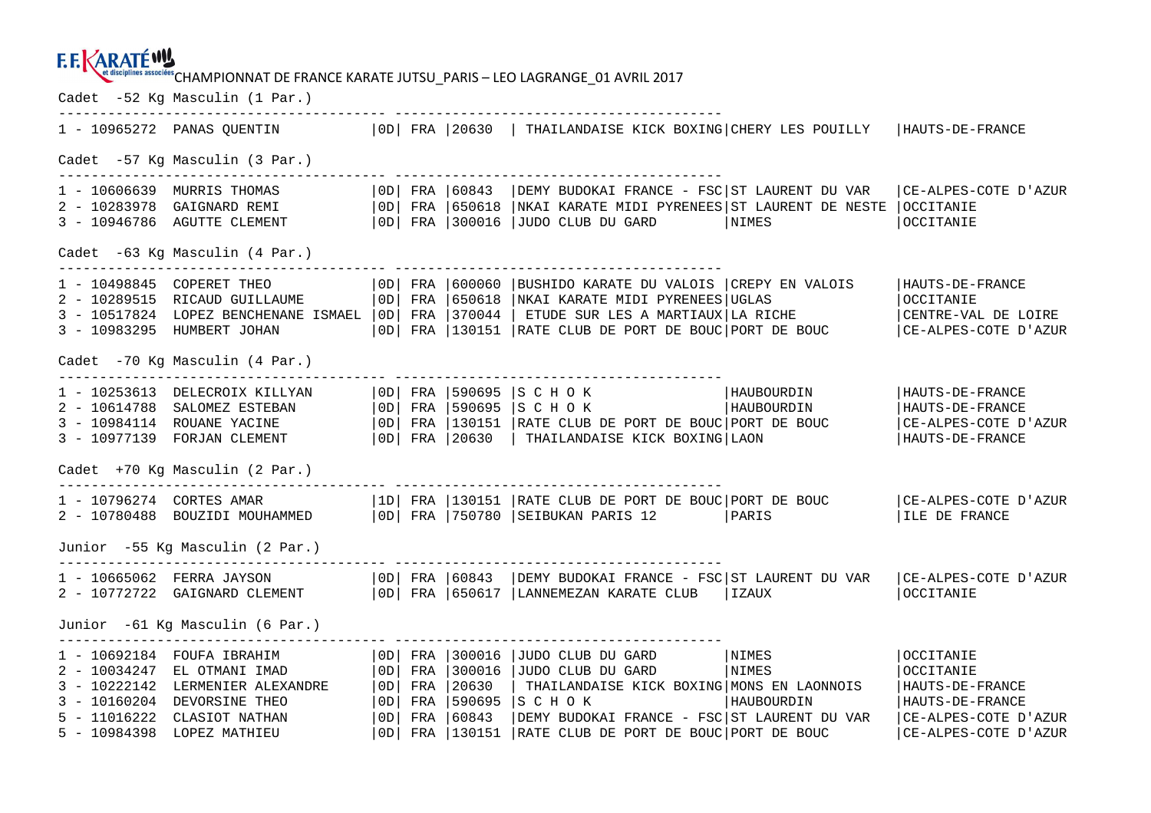#### **E.E.KARATÉWY**

et disciplines associées CHAMPIONNAT DE FRANCE KARATE JUTSU PARIS – LEO LAGRANGE 01 AVRIL 2017

Cadet -52 Kg Masculin (1 Par.) ---------------------------------------- ---------------------------------------- 1 - 10965272 PANAS QUENTIN |0D| FRA |20630 | THAILANDAISE KICK BOXING|CHERY LES POUILLY |HAUTS-DE-FRANCE Cadet -57 Kg Masculin (3 Par.) ---------------------------------------- ---------------------------------------- 1 - 10606639 MURRIS THOMAS | OD| FRA |60843 |DEMY BUDOKAI FRANCE - FSC|ST LAURENT DU VAR |CE-ALPES-COTE D'AZUR<br>2 - 10283978 GAIGNARD REMI | OD| FRA |650618 |NKAI KARATE MIDI PYRENEES|ST LAURENT DE NESTE |OCCITANIE<br>3 - 1094 Cadet -63 Kg Masculin (4 Par.) 1 – 10498845 COPERET THEO |OD| FRA |600060 |BUSHIDO KARATE DU VALOIS |CREPY EN VALOIS |HAUTS-DE-FRANCE<br>2 – 10289515 RICAUD GUILLAUME |OD| FRA |650618 |NKAI KARATE MIDI PYRENEES|UGLAS |OCCIT CENTRE-VAL DE LOIRE 3 - 10517824 LOPEZ BENCHENANE ISMAEL | OD| FRA | 370044 | ETUDE SUR LES A MARTIAUX| LA RICHE 3 - 10983295 HUMBERT JOHAN |0D| FRA |130151 |RATE CLUB DE PORT DE BOUC|PORT DE BOUC |CE-ALPES-COTE D'AZUR Cadet -70 Kg Masculin (4 Par.) ---------------------------------------- ---------------------------------------- 1 - 10253613 DELECROIX KILLYAN |0D| FRA |590695 |S C H O K |HAUBOURDIN |HAUTS-DE-FRANCE HAUTS-DE-FRANCE 2 - 10614788 SALOMEZ ESTEBAN |0D| FRA |590695 |S C H O K |HAUBOURDIN |HAUTS-DE-FRANCE 3 - 10984114 ROUANE YACINE |0D| FRA |130151 |RATE CLUB DE PORT DE BOUC|PORT DE BOUC |CE-ALPES-COTE D'AZUR 3 - 10977139 FORJAN CLEMENT |0D| FRA |20630 | THAILANDAISE KICK BOXING|LAON |HAUTS-DE-FRANCE Cadet +70 Kg Masculin (2 Par.) ---------------------------------------- ---------------------------------------- 1 - 10796274 CORTES AMAR |1D| FRA |130151 |RATE CLUB DE PORT DE BOUC|PORT DE BOUC |CE-ALPES-COTE D'AZUR 2 - 10780488 BOUZIDI MOUHAMMED |0D| FRA |750780 |SEIBUKAN PARIS 12 |PARIS |ILE DE FRANCE Junior -55 Kg Masculin (2 Par.) ---------------------------------------- ---------------------------------------- 1 - 10665062 FERRA JAYSON | |0D| FRA |60843 |DEMY BUDOKAI FRANCE - FSC|ST LAURENT DU VAR |CE-ALPES-COTE D'AZUR<br>2 - 10772722 GAIGNARD CLEMENT | |0D| FRA |650617 |LANNEMEZAN KARATE CLUB |IZAUX | | | | | | | | | | | | | | | | Junior -61 Kg Masculin (6 Par.) ---------------------------------------- ---------------------------------------- 1 - 10692184 FOUFA IBRAHIM |0D| FRA |300016 |JUDO CLUB DU GARD |NIMES |OCCITANIE 2 - 10034247 EL OTMANI IMAD |0D| FRA |300016 |JUDO CLUB DU GARD |NIMES |OCCITANIE 3 - 10222142 LERMENIER ALEXANDRE |0D| FRA |20630 | THAILANDAISE KICK BOXING|MONS EN LAONNOIS |HAUTS-DE-FRANCE 3 - 10160204 DEVORSINE THEO |0D| FRA |590695 |S C H O K |HAUBOURDIN |HAUTS-DE-FRANCE 5 - 11016222 CLASIOT NATHAN |0D| FRA |60843 |DEMY BUDOKAI FRANCE - FSC|ST LAURENT DU VAR |CE-ALPES-COTE D'AZUR 5 - 10984398 LOPEZ MATHIEU |0D| FRA |130151 |RATE CLUB DE PORT DE BOUC|PORT DE BOUC |CE-ALPES-COTE D'AZUR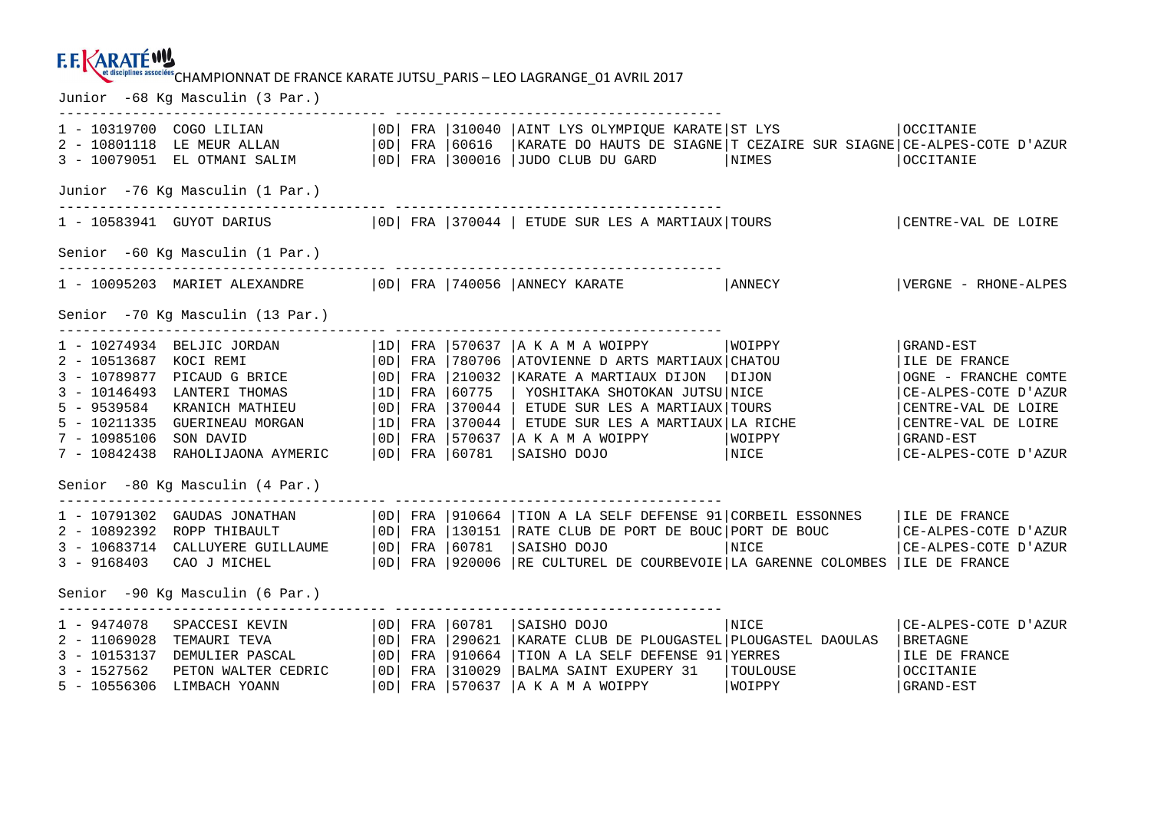# CHAMPIONNAT DE FRANCE KARATE JUTSU\_PARIS – LEO LAGRANGE\_01 AVRIL 2017 Junior -68 Kg Masculin (3 Par.)

|                                                                                   | 2 - 10801118 LE MEUR ALLAN   0D   FRA   60616<br>3 - 10079051 EL OTMANI SALIM                                                                                                                                                                                |            |  |                                                                                 | 1 - 10319700 COGO LILIAN   OD  FRA   310040   AINT LYS OLYMPIQUE KARATE   ST LYS<br>  KARATE DO HAUTS DE SIAGNE   T CEZAIRE SUR SIAGNE   CE-ALPES-COTE D'AZUR<br>  OD   FRA   300016   JUDO CLUB DU GARD   NIMES                                                                                                         |             | <b>OCCITANIE</b><br><b>OCCITANIE</b>                                                                                                                            |  |  |
|-----------------------------------------------------------------------------------|--------------------------------------------------------------------------------------------------------------------------------------------------------------------------------------------------------------------------------------------------------------|------------|--|---------------------------------------------------------------------------------|--------------------------------------------------------------------------------------------------------------------------------------------------------------------------------------------------------------------------------------------------------------------------------------------------------------------------|-------------|-----------------------------------------------------------------------------------------------------------------------------------------------------------------|--|--|
| Junior -76 Kg Masculin (1 Par.)<br>-------------------------------------          |                                                                                                                                                                                                                                                              |            |  |                                                                                 |                                                                                                                                                                                                                                                                                                                          |             |                                                                                                                                                                 |  |  |
|                                                                                   |                                                                                                                                                                                                                                                              |            |  |                                                                                 | 1 - 10583941 GUYOT DARIUS   OD  FRA   370044   ETUDE SUR LES A MARTIAUX  TOURS                                                                                                                                                                                                                                           |             | CENTRE-VAL DE LOIRE                                                                                                                                             |  |  |
| Senior -60 Kg Masculin (1 Par.)                                                   |                                                                                                                                                                                                                                                              |            |  |                                                                                 |                                                                                                                                                                                                                                                                                                                          |             |                                                                                                                                                                 |  |  |
|                                                                                   |                                                                                                                                                                                                                                                              |            |  |                                                                                 | 1 - 10095203 MARIET ALEXANDRE   0D   FRA   740056   ANNECY KARATE   ANNECY                                                                                                                                                                                                                                               |             | VERGNE - RHONE-ALPES                                                                                                                                            |  |  |
| Senior -70 Kq Masculin (13 Par.)                                                  |                                                                                                                                                                                                                                                              |            |  |                                                                                 |                                                                                                                                                                                                                                                                                                                          |             |                                                                                                                                                                 |  |  |
| 2 - 10513687<br>$3 - 10789877$<br>5 - 9539584<br>$7 - 10985106$<br>$7 - 10842438$ | $1 - 10274934$ BELJIC JORDAN $ 1D $ FRA $ 570637 $ A K A M A WOIPPY<br>KOCI REMI<br>PICAUD G BRICE<br>3 - 10146493 LANTERI THOMAS<br>KRANICH MATHIEU<br>5 - 10211335 GUERINEAU MORGAN<br>SON DAVID<br>RAHOLIJAONA AYMERIC<br>Senior -80 Kg Masculin (4 Par.) |            |  | 0D   FRA   780706<br> OD  FRA  210032<br>$ 1D $ FRA $ 60775$<br> OD  FRA  60781 | ATOVIENNE D ARTS MARTIAUX CHATOU<br>KARATE A MARTIAUX DIJON   DIJON<br>  YOSHITAKA SHOTOKAN JUTSU NICE<br>$\vert$ OD $\vert$ FRA $\vert$ 370044 $\vert$ ETUDE SUR LES A MARTIAUX TOURS<br>$ 1D $ FRA $ 370044 $ etude sur LES A MARTIAUX LA RICHE<br>  OD   FRA   570637   A K A M A WOIPPY   WOIPPY<br>SAISHO DOJO NICE | WOIPPY      | GRAND-EST<br>ILE DE FRANCE<br>OGNE - FRANCHE COMTE<br>CE-ALPES-COTE D'AZUR<br>CENTRE-VAL DE LOIRE<br>CENTRE-VAL DE LOIRE<br>  GRAND-EST<br>CE-ALPES-COTE D'AZUR |  |  |
| $3 - 9168403$                                                                     | 2 - 10892392 ROPP THIBAULT<br>3 - 10683714 CALLUYERE GUILLAUME   OD   FRA   60781<br>CAO J MICHEL                                                                                                                                                            |            |  |                                                                                 | 1 - 10791302 GAUDAS JONATHAN (OD) FRA 910664 TION A LA SELF DEFENSE 91 CORBEIL ESSONNES<br>  OD   FRA   130151   RATE CLUB DE PORT DE BOUC   PORT DE BOUC<br>SAISHO DOJO<br>  OD  FRA   920006   RE CULTUREL DE COURBEVOIE   LA GARENNE COLOMBES   ILE DE FRANCE                                                         | <b>NICE</b> | ILE DE FRANCE<br>  CE-ALPES-COTE D'AZUR<br>CE-ALPES-COTE D'AZUR                                                                                                 |  |  |
| Senior -90 Kg Masculin (6 Par.)                                                   |                                                                                                                                                                                                                                                              |            |  |                                                                                 |                                                                                                                                                                                                                                                                                                                          |             |                                                                                                                                                                 |  |  |
| $1 - 9474078$<br>$2 - 11069028$<br>$3 - 1527562$                                  | SPACCESI KEVIN<br>TEMAURI TEVA<br>3 - 10153137 DEMULIER PASCAL<br>PETON WALTER CEDRIC<br>5 - 10556306 LIMBACH YOANN                                                                                                                                          | OD <br> OD |  | $ 0D $ FRA $ 60781$<br>$ 0D $ FRA $ 290621$<br>FRA 1910664<br>FRA 1310029       | SAISHO DOJO<br>KARATE CLUB DE PLOUGASTEL PLOUGASTEL DAOULAS<br>TION A LA SELF DEFENSE 91 YERRES<br>  BALMA SAINT EXUPERY 31   TOULOUSE<br>  A K A M A WOIPPY   WOIPPY<br>  0D   FRA   570637   A K A M A WOIPPY   WOIPPY                                                                                                 | NICE        | CE-ALPES-COTE D'AZUR<br><b>BRETAGNE</b><br>ILE DE FRANCE<br><b>OCCITANIE</b><br>GRAND-EST                                                                       |  |  |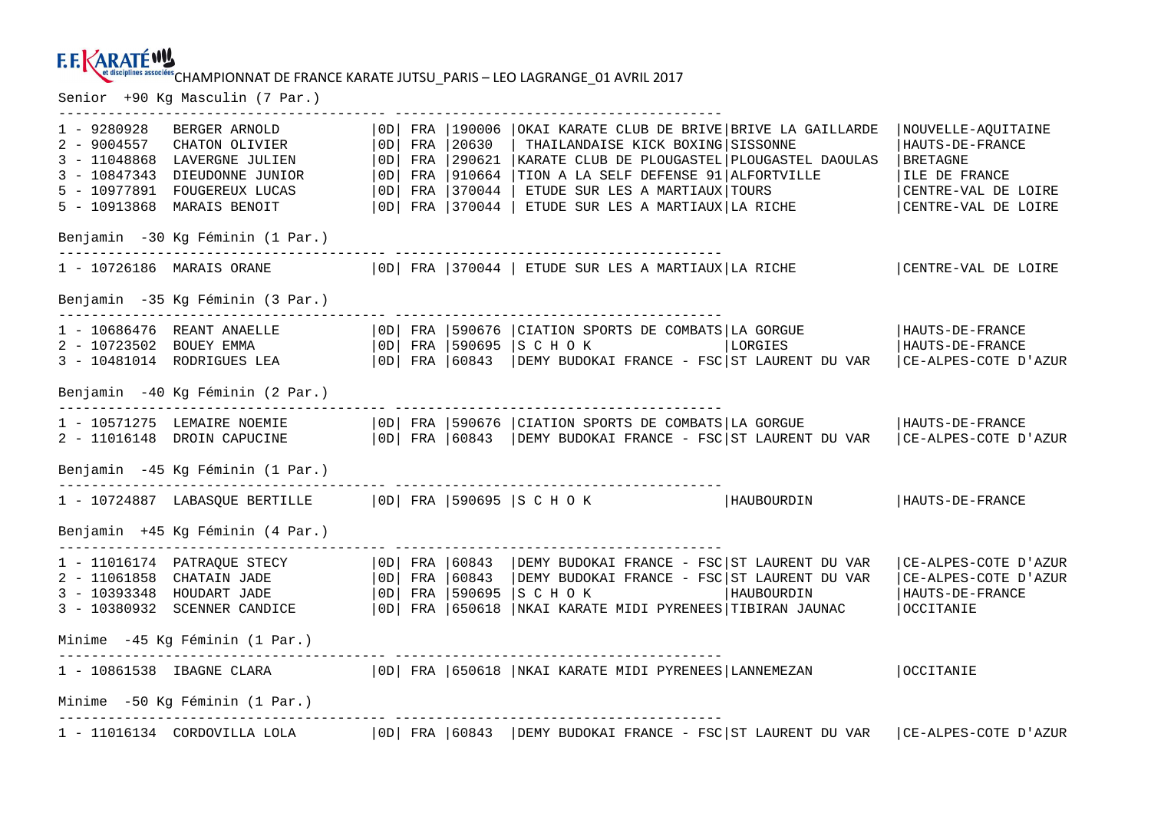# EN UNISCIPANIES ASSOCIESS CHAMPIONNAT DE FRANCE KARATE JUTSU\_PARIS — LEO LAGRANGE\_01 AVRIL 2017<br>Senior +90 Kg Masculin (7 Par.)

|                                                  |                                                                                                                                                                                                                                                   |  |            |                                                                               | -------------------------                                                                                                                                                                                                                                                                          |  |            |                                                                                                                    |
|--------------------------------------------------|---------------------------------------------------------------------------------------------------------------------------------------------------------------------------------------------------------------------------------------------------|--|------------|-------------------------------------------------------------------------------|----------------------------------------------------------------------------------------------------------------------------------------------------------------------------------------------------------------------------------------------------------------------------------------------------|--|------------|--------------------------------------------------------------------------------------------------------------------|
| $1 - 9280928$<br>$2 - 9004557$<br>$3 - 10847343$ | BERGER ARNOLD<br>CHATON OLIVIER<br>3 - 11048868 LAVERGNE JULIEN<br>DIEUDONNE JUNIOR<br>5 - 10977891 FOUGEREUX LUCAS<br>5 - 10913868 MARAIS BENOIT                                                                                                 |  | $ 0D $ FRA | 20630<br>$ 0D $ FRA $ 290621$<br>$ 0D $ FRA $ 910664$<br>$ 0D $ FRA $ 370044$ | OD  FRA   190006   OKAI KARATE CLUB DE BRIVE   BRIVE LA GAILLARDE<br>THAILANDAISE KICK BOXING SISSONNE<br>  KARATE CLUB DE PLOUGASTEL   PLOUGASTEL DAOULAS<br>TION A LA SELF DEFENSE 91 ALFORTVILLE<br>  ETUDE SUR LES A MARTIAUX TOURS<br>$ 0D $ FRA $ 370044 $ ETUDE SUR LES A MARTIAUX LA RICHE |  |            | NOUVELLE-AQUITAINE<br>  HAUTS-DE-FRANCE<br>BRETAGNE<br>ILE DE FRANCE<br>CENTRE-VAL DE LOIRE<br>CENTRE-VAL DE LOIRE |
|                                                  | Benjamin -30 Kg Féminin (1 Par.)                                                                                                                                                                                                                  |  |            |                                                                               |                                                                                                                                                                                                                                                                                                    |  |            |                                                                                                                    |
|                                                  | 1 - 10726186 MARAIS ORANE   OD   FRA   370044   ETUDE SUR LES A MARTIAUX   LA RICHE                                                                                                                                                               |  |            |                                                                               |                                                                                                                                                                                                                                                                                                    |  |            | CENTRE-VAL DE LOIRE                                                                                                |
|                                                  | Benjamin -35 Kg Féminin (3 Par.)                                                                                                                                                                                                                  |  |            |                                                                               |                                                                                                                                                                                                                                                                                                    |  |            |                                                                                                                    |
|                                                  | 1 - 10686476 REANT ANAELLE<br>2 - 10723502 BOUEY EMMA<br>3 - 10481014 RODRIGUES LEA                                                                                                                                                               |  |            |                                                                               | OD FRA 590676 CIATION SPORTS DE COMBATS LA GORGUE<br>  OD   FRA   590695   S C H O K<br>  OD  FRA   60843   DEMY BUDOKAI FRANCE - FSC  ST LAURENT DU VAR                                                                                                                                           |  | LORGIES    | HAUTS-DE-FRANCE<br> HAUTS-DE-FRANCE<br>  CE-ALPES-COTE D'AZUR                                                      |
|                                                  | Benjamin -40 Kg Féminin (2 Par.)                                                                                                                                                                                                                  |  |            |                                                                               |                                                                                                                                                                                                                                                                                                    |  |            |                                                                                                                    |
|                                                  | 1 - 10571275 LEMAIRE NOEMIE<br>2 - 11016148 DROIN CAPUCINE   0D   FRA   60843   DEMY BUDOKAI FRANCE - FSC   ST LAURENT DU VAR   CE-ALPES-COTE D'AZUR                                                                                              |  |            |                                                                               | OD   FRA   590676   CIATION SPORTS DE COMBATS   LA GORGUE                                                                                                                                                                                                                                          |  |            | HAUTS-DE-FRANCE                                                                                                    |
|                                                  | Benjamin -45 Kg Féminin (1 Par.)                                                                                                                                                                                                                  |  |            |                                                                               |                                                                                                                                                                                                                                                                                                    |  |            |                                                                                                                    |
|                                                  | 1 - 10724887 LABASQUE BERTILLE   OD   FRA   590695   S C H O K   HAUBOURDIN                                                                                                                                                                       |  |            |                                                                               |                                                                                                                                                                                                                                                                                                    |  |            | HAUTS-DE-FRANCE                                                                                                    |
|                                                  | Benjamin +45 Kg Féminin (4 Par.)                                                                                                                                                                                                                  |  |            |                                                                               |                                                                                                                                                                                                                                                                                                    |  |            |                                                                                                                    |
|                                                  | 1 - 11016174 PATRAQUE STECY   OD   FRA   60843<br>2 - 11061858 CHATAIN JADE $ 0D $ FRA $ 60843$<br>3 - 10393348 HOUDART JADE   0D   FRA   590695<br>3 - 10380932 SCENNER CANDICE   OD   FRA   650618   NKAI KARATE MIDI PYRENEES   TIBIRAN JAUNAC |  |            |                                                                               | DEMY BUDOKAI FRANCE - FSC ST LAURENT DU VAR<br>DEMY BUDOKAI FRANCE - FSC ST LAURENT DU VAR<br>SCHOK                                                                                                                                                                                                |  | HAUBOURDIN | CE-ALPES-COTE D'AZUR<br> CE-ALPES-COTE D'AZUR<br>  HAUTS-DE-FRANCE<br><b>OCCITANIE</b>                             |
| Minime -45 Kg Féminin (1 Par.)                   |                                                                                                                                                                                                                                                   |  |            |                                                                               |                                                                                                                                                                                                                                                                                                    |  |            |                                                                                                                    |
|                                                  | 1 - 10861538 IBAGNE CLARA   OD  FRA   650618   NKAI KARATE MIDI PYRENEES   LANNEMEZAN                                                                                                                                                             |  |            |                                                                               |                                                                                                                                                                                                                                                                                                    |  |            | <b>OCCITANIE</b>                                                                                                   |
|                                                  | Minime -50 Kg Féminin (1 Par.)                                                                                                                                                                                                                    |  |            |                                                                               |                                                                                                                                                                                                                                                                                                    |  |            |                                                                                                                    |
|                                                  | 1 - 11016134 CORDOVILLA LOLA   OD  FRA   60843   DEMY BUDOKAI FRANCE - FSC   ST LAURENT DU VAR   CE-ALPES-COTE D'AZUR                                                                                                                             |  |            |                                                                               |                                                                                                                                                                                                                                                                                                    |  |            |                                                                                                                    |